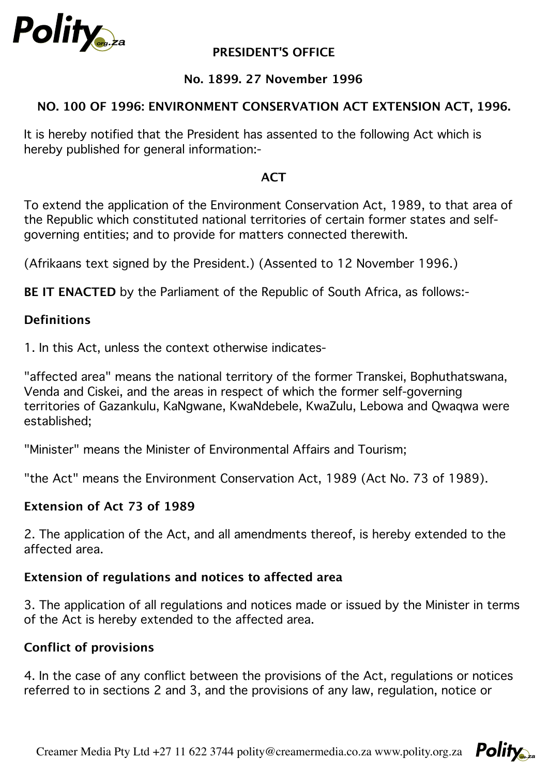

## **PRESIDENT'S OFFICE**

## **No. 1899. 27 November 1996**

## **NO. 100 OF 1996: ENVIRONMENT CONSERVATION ACT EXTENSION ACT, 1996.**

It is hereby notified that the President has assented to the following Act which is hereby published for general information:-

#### **ACT**

To extend the application of the Environment Conservation Act, 1989, to that area of the Republic which constituted national territories of certain former states and selfgoverning entities; and to provide for matters connected therewith.

(Afrikaans text signed by the President.) (Assented to 12 November 1996.)

**BE IT ENACTED** by the Parliament of the Republic of South Africa, as follows:-

#### **Definitions**

1. In this Act, unless the context otherwise indicates-

"affected area" means the national territory of the former Transkei, Bophuthatswana, Venda and Ciskei, and the areas in respect of which the former self-governing territories of Gazankulu, KaNgwane, KwaNdebele, KwaZulu, Lebowa and Qwaqwa were established;

"Minister" means the Minister of Environmental Affairs and Tourism;

"the Act" means the Environment Conservation Act, 1989 (Act No. 73 of 1989).

#### **Extension of Act 73 of 1989**

2. The application of the Act, and all amendments thereof, is hereby extended to the affected area.

#### **Extension of regulations and notices to affected area**

3. The application of all regulations and notices made or issued by the Minister in terms of the Act is hereby extended to the affected area.

#### **Conflict of provisions**

4. In the case of any conflict between the provisions of the Act, regulations or notices referred to in sections 2 and 3, and the provisions of any law, regulation, notice or

Creamer Media Pty Ltd +27 11 622 3744 polity@creamermedia.co.za www.polity.org.za  $P_{\text{O}}$